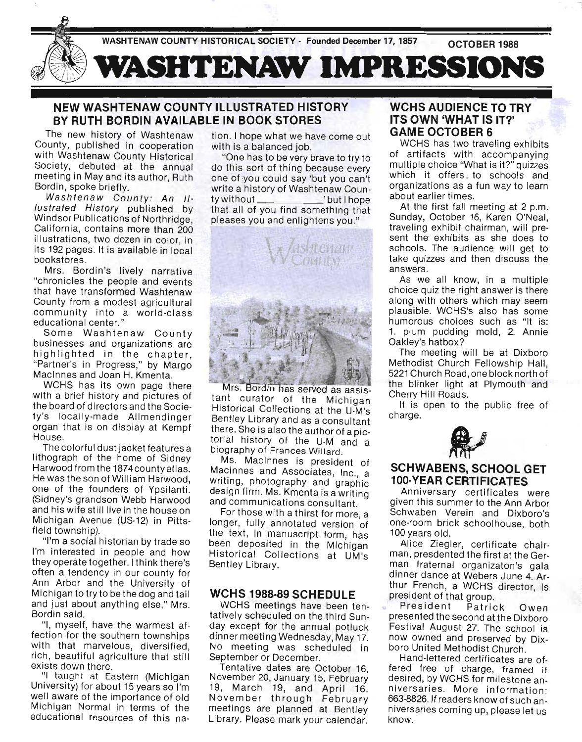

## **NEW WASHTENAW COUNTY ILLUSTRATED HISTORY BY RUTH BORDIN AVAILABLE IN BOOK STORES**

The new history of Washtenaw County, published in cooperation with Washtenaw County Historical Society, debuted at the annual meeting in May and its author, Ruth Bordin, spoke briefly.

Washtenaw County: An Illustrated History published by Windsor Publications of Northridge, California, contains more than 200 illustrations, two dozen in color, in its 192 pages. It is available in local bookstores.

Mrs. Bordin's lively narrative "chronicles the people and events that have transformed Washtenaw County from a modest agricultural community into a world-class educational center."

Some Washtenaw County businesses and organizations are highlighted in the chapter, "Partner's in Progress," by Margo Macinnes and Joan H. Kmenta.

WCHS has its own page there with a brief history and pictures of the board of directors and the Society's locally-made Allmendinger organ that is on display at Kempf House.

The colorful dust jacket features a lithograph of the home of Sidney Harwood from the 1874county atlas. He was the son of William Harwood, one of the founders of Ypsilanti. (Sidney's grandson Webb Harwood and his wife still live in the house on Michigan Avenue (US-12) in Pittsfield township).

"I'm a social historian by trade so I'm interested in people and how they operate together. I think there's often a tendency in our county for Ann Arbor and the University of Michigan to try to be the dog and tail and just about anything else," Mrs. Bordin said.

"I, myself, have the warmest affection for the southern townships with that marvelous, diversified, rich, beautiful agriculture that still exists down there.

"I taught at Eastern (Michigan University) for about 15 years so I'm well aware of the importance of old Michigan Normal in terms of the educational resources of this nation. I hope what we have come out with is a balanced job.

"One has to be very brave to try to do this sort of thing because every one of you could say 'but you can't write a history of Washtenaw County without  $'$  but I hope that all of you find something that pleases you and enlightens you."



Mrs. Bordin has served as assistant curator of the Michigan Historical Collections at the U-M's Bentley Library and as a consultant there. She is also the author of a pictorial history of the U-M and a biography of Frances Willard.

Ms. Macinnes is president of Macinnes and Associates, Inc., a writing, photography and graphic design firm. Ms. Kmenta is a writing and communications consultant.

For those with a thirst for more, a longer, fully annotated version of the text, in manuscript form, has been deposited in the Michigan Historical Collections at UM 's Bentley Library.

## **WCHS 1988·89 SCHEDULE**

WCHS meetings have been tentatively scheduled on the third Sunday except for the annual potluck dinner meeting Wednesday, May 17. No meeting was scheduled in September or December.

Tentative dates are October 16, November 20, January 15, February 19, March 19, and April 16. November through February meetings are planned at Bentley Library. Please mark your calendar.

## **WCHS AUDIENCE TO TRY ITS OWN 'WHAT IS IT?' GAME OCTOBER 6**

WCHS has two traveling exhibits of artifacts with accompanying multiple choice "What is it?" quizzes which it offers to schools and organizations as a fun way to learn about earlier times.

At the first fall meeting at 2 p.m. Sunday, October 16, Karen O'Neal, traveling exhibit chairman, will present the exhibits as she does to schools. The audience will get to take quizzes and then discuss the answers.

As we all know, in a multiple choice quiz the right answer is there along with others which may seem plausible. WCHS's also has some humorous choices such as "It is: 1. plum pudding mold, 2. Annie Oakley's hatbox?

The meeting will be at Dixboro Methodist Church Fellowship Hall, 5221 Church Road, one block north of the blinker light at Plymouth and Cherry Hill Roads.

It is open to the public free of charge.



## **SCHWABENS, SCHOOL GET 100·YEAR CERTIFICATES**

Anniversary certificates were given this summer to the Ann Arbor Schwaben Verein and Dixboro's one-room brick schoolhouse, both 100 years old.

Alice Ziegler, certificate chairman, presdented the first at the German fraternal organizaton's gala dinner dance at Webers June 4. Arthur French, a WCHS director, is president of that group.

President Patrick Owen presented the second at the Dixboro Festival August 27. The school is now owned and preserved by Dixboro United Methodist Church.

Hand-lettered certificates are offered free of charge, framed if desired, by WCHS for milestone anniversaries. More information: 663-8826. If readers know of such anniversaries coming up, please let us know.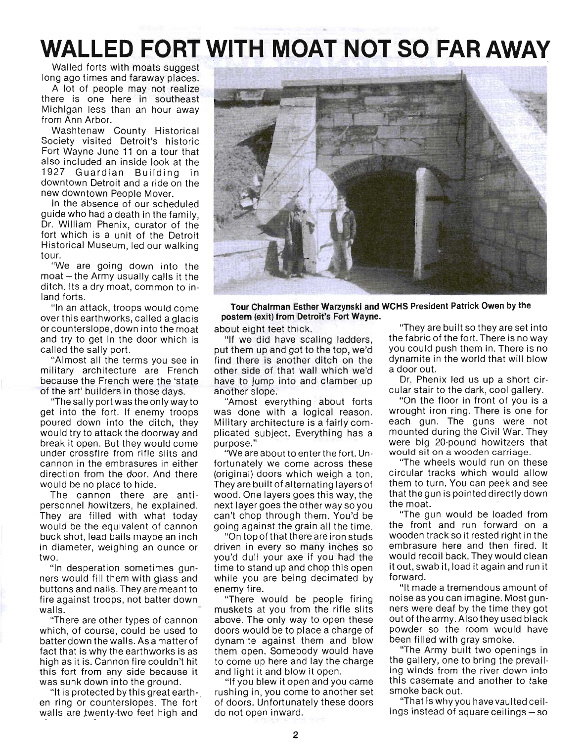# **WALLED** FORT WITH **MOAT NOT SO FARAWAY**

Walled forts with moats suggest long ago times and faraway places.

A lot of people may not realize there is one here in southeast Michigan less than an hour away from Ann Arbor.

Washtenaw County Historical Society visited Detroit's historic Fort Wayne June 11 on a tour that also included an inside look at the 1927 Guardian Building in downtown Detroit and a ride on the new downtown People Mover.

In the absence of our scheduled guide who had a death in the family, Dr. William Phenix, curator of the fort which is a unit of the Detroit Historical Museum, led our walking tour.

"We are going down into the  $m$ oat  $-$  the Army usually calls it the ditch. Its a dry moat, common to inland forts.

"In an attack, troops would come over this earthworks, called a glacis or counterslope, down into the moat and try to get in the door which is called the sally port.

"Almost all the terms you see in military architecture are French because the French were the 'state of the art' builders in those days.

"The sally port was the onlywayto get into the fort. If enemy troops poured down into the ditch, they would try to attack the doorway and break it open. But they would come under crossfire from rifle slits and cannon in the embrasures in either direction from the door. And there would be no place to hide.

The cannon there are antipersonnel howitzers, he explained. They are filled with what today would be the equivalent of cannon buck shot, lead balls maybe an inch in diameter, weighing an ounce or two.

"In desperation sometimes gunners would fill them with glass and buttons and nails. They are meant to fire against troops, not batter down walls.

"There are other types of cannon which, of course, could be used to batter down the walls. As a matter of fact that is why the earthworks is as high as it is. Cannon fire couldn't hit this fort from any side because it was sunk down into the ground.

"It is protected by this great earth- . en ring or counterslopes. The fort walls are twenty-two feet high and



**Tour Chairman Esther Warzynski and WCHS President Patrick Owen by the postern (exit) from Detroit's Fort Wayne.** 

about eight teet thick.

"If we did have scaling ladders, put them up and got to the top, we'd find there is another ditch on the other side of that wall which we'd have to jump into and clamber up another slope.

"Amost everything about forts was done with a logical reason. Military architecture is a fairly complicated subject. Everything has a purpose."

"We are about to enter the fort. Unfortunately we come across these (original) doors which weigh a ton. They are built of alternating layers of wood. One layers goes this way, the next layer goes the other way so you can't chop through them. You'd be going against the grain all the time.

"On top of that there are i ron studs driven in every so many inches so you'd dull your axe if you had the time to stand up and chop this open while you are being decimated by enemy fire.

"There would be people firing muskets at you from the rifle slits above. The only way to open these doors would be to place a charge of dynamite against them and blow them open. Somebody would have to come up here and lay the charge and light it and blow it open.

"If you blew it open and you came rushing in, you come to another set of doors. Unfortunately these doors do not open inward.

"They are built so they are set into the fabric of the fort. There is no way you could push them in. There is no dynamite in the world that will blow a door out.

Dr. Phenix led us up a short circular stair to the dark, cool gallery.

"On the floor in front of you is a wrought iron ring. There is one for each. gun. The guns were not mounted during the Civil War. They were big 20-pound howitzers that would sit on a wooden carriage.

"The wheels would run on these circular tracks which would allow them to turn. You can peek and see that the gun is pointed directly down the moat.

"The gun would be loaded from the front and run forward on a wooden track so it rested right in the embrasure here and then fired. It would recoil back. They would clean it out, swab it, load it again and run it forward.

"It made a tremendous amount of noise as you can imagine. Most gunners were deaf by the time they got out of the army. Also they used black powder so the room would have been filled with gray smoke.

"The Army built two openings in the gallery, one to bring the prevailing winds from the river down into this casemate and another to take smoke back out.

"That is why you have vaulted cei lings instead of square ceilings – so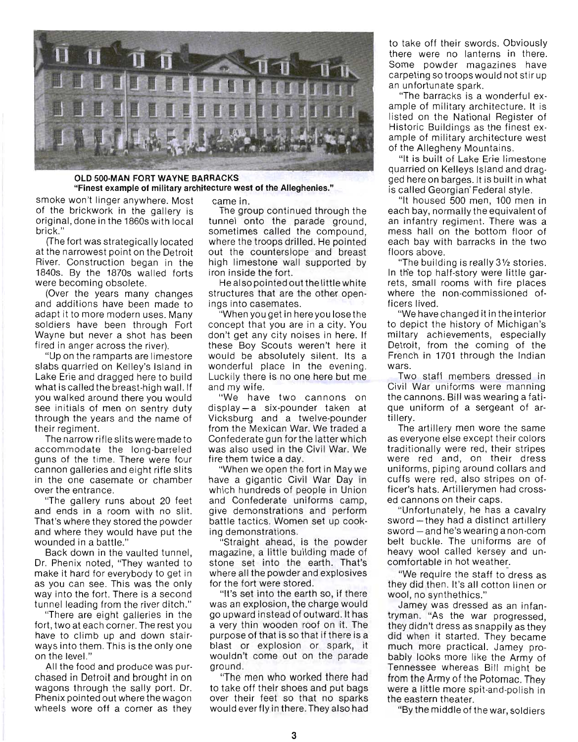

#### **OLD SOO·MAN FORT WAYNE BARRACKS**  "Finest example of military architecture west of the Alleghenies."

smoke won't linger anywhere. Most came in. of the brickwork in the gallery is The group continued through the

at the narrowest point on the Detroit out the counterslope and breast River. Construction began in the high limestone wall supported by 1840s. By the 1870s walled forts iron inside the fort. were becoming obsolete. He also pointed out the little white

and additions have been made to ings into casemates. adapt it to more modern uses. Many "When you get inhere you lose the soldiers have been through Fort concept that you are in a city. You Wayne but never a shot has been don't get any city noises in here. If fired in anger across the river). these Boy Scouts weren't here it

slabs quarried on Kelley's Island in wonderful place in the evening. Lake Erie and dragged here to build Luckily there is no one here but me what is called the breast-high wall. If and my wife. you walked around there you would "We have two cannons on see initials of men on sentry duty display - a six-pounder taken at through the years and the name of Vicksburg and a twelve-pounder

accommodate the long-barreled was also used in the Civil War. We guns of the time. There were four fire them twice a day. cannon galleries and eight rifle slits "When we open the fort in May we in the one casemate or chamber have a gigantic Civil War Day in over the entrance. which hundreds of people in Union

and ends in a room with no slit. give demonstrations and perform That's where they stored the powder battle tactics. Women set up cookand where they would have put the ing demonstrations. wounded in a battle." "Straight ahead, is the powder

Dr. Phenix noted, "They wanted to stone set into the earth. That's make it hard for everybody to get in where all the powder and explosives as you can see. This was the only for the fort were stored. way into the fort. There is a second "It's set into the earth so, if there tunnel leading from the river ditch." was an explosion , the charge would

have to climb up and down stair- purpose of that is so that if there is a ways into them. This is the only one blast or explosion or spark, it on the level." wouldn 't come out on the parade

All the food and produce was pur- ground. wheels wore off a corner as they would ever fly in there. They also had

orig inal, done in the 1860s with local tunnel onto the parade ground, brick." sometimes called the compound, (The fort was strategically located where the troops drilled. He pointed

(Over the years many changes structures that are the other open-

"Up on the ramparts are limestore would be absolutely silent. Its a

their regiment. Their regiment. Their regiment. The narrow rifle slits were made to Confederate gun for the latter which

"The gallery runs about 20 feet and Confederate uniforms camp,

Back down in the vaulted tunnel, magazine, a little building made of

"There are eight galleries in the go upward instead of outward. It has fort, two at each corner. The rest you a very thin wooden roof on it. The

chased in Detroit and brought in on "The men who worked there had wagons through the sally port. Dr. to take off their shoes and put bags Phenix pointed out where the wagon over their feet so that no sparks

to take off their swords. Obviously there were no lanterns in there. Some powder magazines have carpeting so troops would not stir up an unfortunate spark.

"The barracks is a wonderful example of military architecture. It is listed on the National Register of Historic Buildings as the finest example of military architecture west of the Allegheny Mountains.

"It is built of Lake Erie limestone quarried on Kelleys Island and drag· ged here on barges. It is built in what is called Georgian-Federal style.

"It housed 500 men, 100 men in each bay, normally the equivalent of an infantry regiment. There was a mess hall on the bottom floor of each bay with barracks in the two floors above.

"The building is really 3% stories. In the top half-story were little garrets, small rooms with fire places where the non-commissioned officers lived.

"We have changed it in the interior to depict the history of Michigan's miltary achievements, especially Detroit, from the coming of the French in 1701 through the Indian wars.

Two staff members dressed in Civil War uniforms were manning the cannons. Bill was wearing a fatique uniform of a sergeant of artillery.

The artillery men wore the same as everyone else except their colors traditionally were red, their stripes were red and, on their dress uniforms, piping around collars and cuffs were red, also stripes on officer's hats. Artillerymen had crossed cannons on their caps.

"Unfortunately, he has a cavalry sword  $-$  they had a distinct artillery sword  $-$  and he's wearing a non-com belt buckle. The uniforms are of heavy wool called kersey and uncomfortable in hot weather.

"We require the staff to dress as they did then. It's all cotton linen or wool, no synthethics."

Jamey was dressed as an infantryman. "As the war progressed, they didn't dress as snappily as they did when it started. They became much more practical. Jamey probably looks more like the Army of Tennessee whereas Bill might be from the Army of the Potomac. They were a little more spit-and-polish in the eastern theater.

"By the middle of the war, soldiers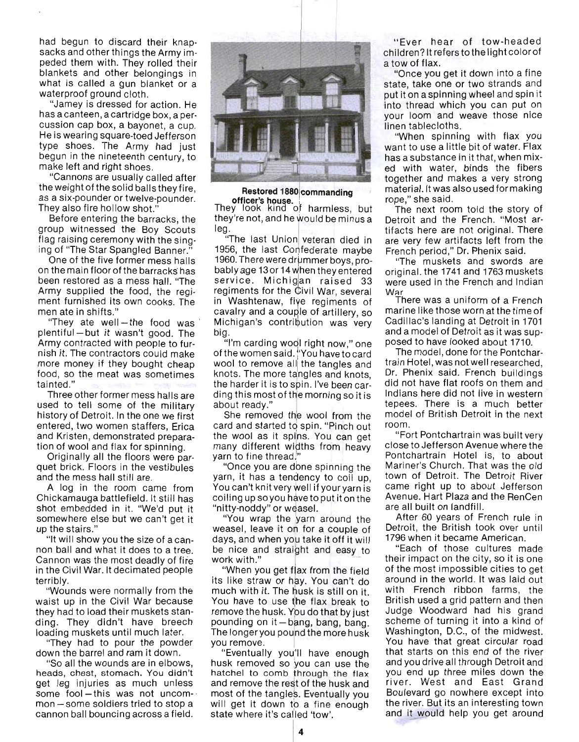had begun to discard their knapsacks and other things the Army impeded them with. They rolled their blankets and other belongings in what is called a gun blanket or a waterproof ground cloth.

"Jamey is dressed for action. He has a canteen, a cartridge box, a percussion cap box, a bayonet, a cup. He is wearing square-toed Jefferson type shoes. The Army had just begun in the nineteenth century, to make left and right shoes.

"Cannons are usually called after the weight of the solid balls they fire, as a six-pounder or twelve-pounder. They also fire hollow shot."

Before entering the barracks, the group witnessed the Boy Scouts flag raising ceremony with the singing of "The Star Spangled Banner."

One of the five former mess halls on the main floor of the barracks' has been restored as a mess hall. "The Army supplied the food, the regiment furnished its own cooks. The men ate in shifts."

"They ate well-the food was plentiful- but it wasn 't good. The Army contracted with people to furnish it. The contractors could make more money if they bought cheap food, so the meat was sometimes tainted."

Three other former mess halls are used to tell some of the military history of Detroit. In the one we first entered, two women staffers, Erica and Kristen, demonstrated preparation of wool and flax for spinning.

Originally all the floors were parquet brick. Floors in the vestibules and the mess hall still are.

A log in the room came from Chickamauga battlefield. It still has shot embedded in it. "We'd put it somewhere else but we can't get it up the stairs."

"It will show you the size of a cannon ball and what it does to a tree. . Cannon was the most deadly of fire in the Civil War. It decimated people terribly.

"Wounds were normally from the waist up in the Civil War because they had to load their muskets standing. They didn't have breech loading muskets until much later.

"They had to pour the powder down the barrel and ram it down.

"So all the wounds are in elbows, heads, chest, stomach. You didn't get leg injuries as much unless some fool-this was not uncommon - some soldiers tried to stop a cannon ball bouncing across a field.



**Restored 1880 commanding** 

nooton<br>They look they're not, and he leg.

"The last Union veteran died in 1956, the last Confederate maybe 1960. There were drummer boys, probably age 13 or 14 when they entered service. Michigan raised 33 regiments for the Civil War, several in Washtenaw, five regiments of cavalry and a couple of artillery, so Michigan's contribution was very big.

"I'm carding wool right now," one of the women said. "You have to card wool to remove all the tangles and knots. The more tangles and knots, the harder it is to spin. I've been carding this most of the morning so it is about ready."

She removed wool from the ard and started to spin. "Pinch out the wool as it spins. You can get nany different widths from heavy yarn to fine thread

"Once you are done spinning the yarn, it has a tendency to coil up, You can't knit very well if your yarn is coiling up soyou have to put it on the

"nitty-noddy" or weasel.<br>"You wrap the yarn around the weasel, leave it on for a couple of days, and when you take it off it will be nice and straight and easy to vork with."

work with."<br>"When you get flax from the field" its like straw or hay. You can't do much with it. The husk is still on it. You have to use the flax break to remove the husk. You do that by just pounding on it - bang, bang, bang. In longer you pound the more husk<br>ou remove.

you remove.<br>"Eventually you'll have enough husk removed so you can use the hatchel to comb through the flax and remove the rest of the husk and most of the tangles. Eventually you will get it down to a fine enough state where it's called 'tow'.

"Ever hear of tow-headed children? It refers to the light color of a tow of flax.

"Once you get it down into a fine state, take one or two strands and put it on a spinning wheel and spin it into thread which you can put on your loom and weave those nice linen tablecloths.

"When spinning with flax you want to use a little bit of water. Flax has a substance in it that, when mixed with water, binds the fibers together and makes a very strong material. It was also used formaking rope," she said. .

The next room told the story of Detroit and the French. "Most artifacts here are not original. There are very few artifacts left from the French period," Dr. Phenix said.

"The muskets and swords are original. the 1741 and 1763 muskets were used in the French and Indian War<br>War<br>There was a uniform of a French

marine like those worn at the time of marine like those worn at the time of<br>Cadillac's landing at Detroit in 1701 and a model of Detroit as it was supposed to have looked about 1710.

The model, done for the Pontchartrain Hotel, was not well researched, Dr. Phenix said. French buildings did not have flat roofs on them and Indians here did not live in western tepees. There is a much better model of British Detroit in the next room.

"Fort Pontchartrain was built very close to Jefferson Avenue where the Pontchartrain Hotel is, to about Mariner's Church. That was the old town of Detroit. The Detroit River came right up to about Jefferson Avenue. Hart Plaza and the RenCen are all built on landfill.

After 60 years of French rule in Detroit, the British took over until 1796 when it became American.

"Each of those cultures made their impact on the city, so it is one of the most impossible cities to get around in the world. It was laid out with French ribbon farms, the British used a grid pattern and then Judge Woodward had his grand scheme of turning it into a kind of Washington, D.C., of the midwest. You have that great circular road that starts on this end of the river and you drive all through Detroit and you end up three miles down the river. West and East Grand Boulevard go nowhere except into the river. But its an interesting town and it would help you get around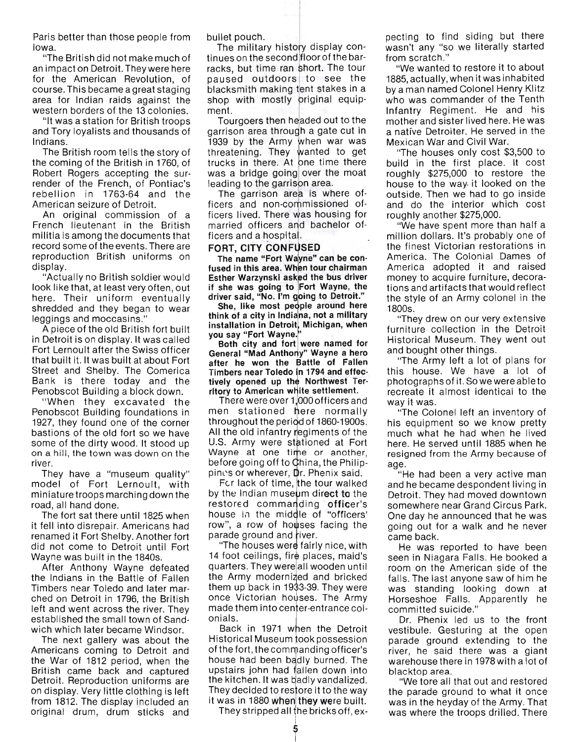Paris better than those people from Iowa.

"The British did not make much of an impact on Detroit. They were here for the American Revolution, of course. This became a great staging area for Indian raids against the western borders of the 13 colonies.

"It was a station for British troops and Tory loyalists and thousands of Indians.

The British room tells the story of the coming of the British in 1760, of Robert Rogers accepting the surrender of the French, of Pontiac's rebellion in 1763-64 and the American seizure of Detroit.

An original commission of a French lieutenant in the British militia is among the documents that record some of the events. There are reproduction British uniforms on display.

"Actually no British soldier would look like that, at least very often, out here. Their uniform eventually shredded and they began to wear leggings and moccasins."

A piece of the old British fort built in Detroit is on display. It was called Fort Lernoult after the Swiss officer that built it. It was built at about Fort Street and Shelby. The Comerica Bank is there today and the Penobscot Building a block down.

" When they excavated the Penobscot Building foundations in 1927, they found one of the corner bastions of the old fort so we have some of the dirty wood. It stood up on a hill, the town was down on the river.

They have a "museum quality" model of Fort Lernoult, with miniature troops marching down the road, all hand done.

The fort sat there until 1825 when it fell into disrepair. Americans had renamed it Fort Shelby. Another fort did not come to Detroit until Fort Wayne was built in the 1840s.

After Anthony Wayne defeated the Indians in the Battle of Fallen Timbers near Toledo and later marched on Detroit in 1796, the British left and went across the river. They established the small town of Sandwich which later became Windsor.

The next gallery was about the Americans coming to Detroit and the War of 1812 period, when the British came back and captured Detroit. Reproduction uniforms are on display. Very little clothing is left from 1812. The display included an original drum, drum sticks and

bullet pouch.

The military history display continues on the second floor of the barracks, but time ran short. The tour paused outdoors to see the blacksmith making tent stakes in a shop with mostly original equipment.

Tourgoers then headed out to the garrison area through a gate cut in 1939 by the Army when war was threatening. They wanted to get trucks in there. At one time there was a bridge going over the moat leading to the garrison area.

The garrison area is where officers and non-commissioned officers lived. There was housing for married officers and bachelor officers and a hospital.

#### FORT, CITY CONFUSED

The name "Fort Wayne" can be confused in this area. When tour chairman Esther Warzynski asked the bus driver if she was going to Fort Wayne, the driver said, "No. I'm going to Detroit."

She, like most people around here think of a city in Indiana, not a military installation in Detroit, Michigan, when you say "Fort Wayne."<br>Both city and fort were named for

General "Mad Anthony" Wayne a hero after he won the Battle of Fallen Timbers near Toledo in 1794 and effectively opened up the Northwest Territory to American white settlement.

There were over *1p OO* officers and men stationed here normally throughout the period of 1860-1900s. All the old infantry regiments of the U.S. Army were stationed at Fort Wayne at one time or another, before going off to China, the Philippines or wherever, Dr. Phenix said.

For lack of time, the tour walked by the Indian museum direct to the restored commanding officer's house in the middle of "officers' row", a row of houses facing the parade ground and river.

. "The houses were fairly nice, with 14 foot ceilings, fire places, maid's quarters. They were all wooden until the Army modernized and bricked them up back in 1933-39. They were once Victorian houses. The Army made them into center-entrance colonials.

Back in 1971 when the Detroit Historical Museum took possession of the fort, the commanding officer's house had been badly burned. The upstairs john had fallen down into the kitchen. It was badly vandalized. They decided to restore it to the way it was in 1880 when they were built.

They stripped all the bricks off,  $ex$ -

pecting to find siding but there wasn't any "so we literally started from scratch."

"We wanted to restore it to about 1885, actually, when it was inhabited by a man named Colonel Henry Klitz who was commander of the Tenth Infantry Regiment. He and his mother and sister lived here. He was a native Detroiter. He served in the Mexican War and Civil War.

"The houses only cost \$3,500 to build in the first place. It cost roughly \$275,000 to restore the house to the way- it looked on the outside. Then we had to go inside and do the interior which cost roughly another \$275,000.

"We have spent more than half a million dollars. It's probably one of the finest Victorian restorations in America. The Colonial Dames of America adopted it and raised money to acquire furniture, decorations and artifacts that would reflect the style of an Army colonel in the 1800s.

"They drew on our very extensive furniture collection in the Detroit Historical Museum. They went out and bought other things.

"The Army left a lot of plans for this house. We have a lot of photographs of it. So we were able to recreate it almost identical to the way it was.

"The Colonel left an inventory of his equipment so we know pretty much what he had when he lived here. He served until 1885 when he resigned from the Army because of age.

"He had been a very active man and he became despondent living in Detroit. They had moved downtown somewhere near Grand Circus Park. One day he announced that he was going out for a walk and he never came back.

He was reported to have been seen in Niagara Falls. He booked a room on the American side of the falls. The last anyone saw of him he was standing looking down at Horseshoe Falls. Apparently he committed suicide."

Dr. Phenix led us to the front vestibule. Gesturing at the open parade ground extending to the river, he said there was a giant warehouse there in 1978 with a lot of blacktop area.

"We tore all that out and restored the parade ground to what it once was in the heyday of the Army. That was where the troops drilled. There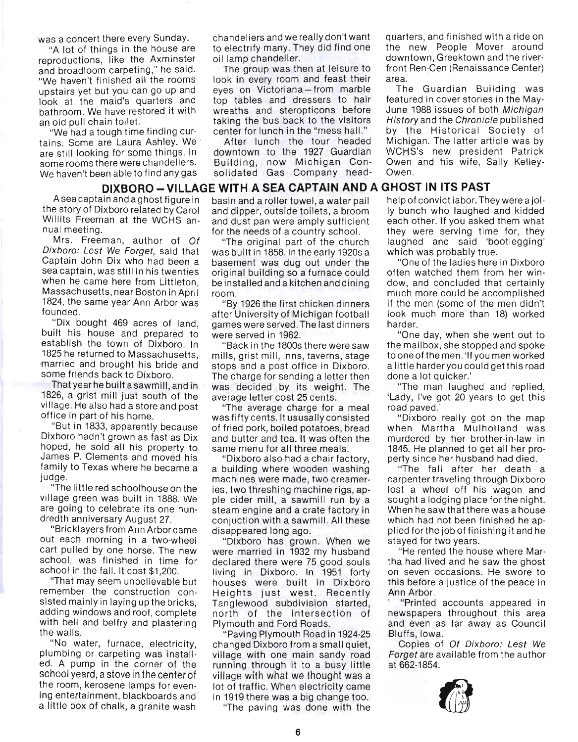and broadloom carpeting," he said. The group was then at leisure to front Ren-Cen (Renaissance Center)

tains. Some are Laura Ashley. We After lunch the tour headed Michigan. The latter article was by are still looking for some things. In downtown to the 1927 Guardian WCHS's new president Patrick some rooms there were chandeliers. Building, now Michigan Con- Owen and his wife, Sally Kelley-We haven't been able to find any gas solidated Gas Company head- Owen.

A sea captain and a ghost figure in basin and a roller towel, a water pail help of convict labor. They were a jol-

nual meeting. For the needs of a country school. They were serving time for, they

1824, the same year Ann Arbor was "By 1926 the first chicken dinners if the men (some of the men didn't

establish the town of Dixboro. In "Back in the 1800s there were saw the mailbox, she stopped and spoke

village. He also had a store and post "The average charge for a meal road paved.

James P. Clements and moved his "Dixboro also had a chair factory, perty since her husband had died.

out each morning in a two-wheel "Dixboro has grown. When we stayed for two years.

school yeard, a stove in the center of village with what we thought was a the room, kerosene lamps for even- lot of traffic. When electricity came ing entertainment, blackboards and ing entertainment, blackboards and in 1919 there was a big change too.<br>a little box of chalk, a granite wash in the paving was done with the

"A lot of things in the house are to electrify many. They did find one the new People Mover around reproductions, like the Axminster oil lamp chandelier. **The contract of the river-** downtown, Greektown and the river-

"We haven't finished all the rooms look in every room and feast their area. upstairs yet but you can go up and eyes on Victoriana - from marble The Guardian Building was look at the maid's quarters and top tables and dressers to hair featured in cover stories in the Maybathroom. We have restored it with wreaths and steropticons before June 1988 issues of both Michigan an old pull chain toilet. the staking the bus back to the visitors History and the Chronicle published

## **DIXBORO - VILLAGE WITH A SEA CAPTAIN AND A GHOST IN ITS PAST**

the story of Dixboro related by Carol and dipper, outside toilets, a broom Iy bunch who laughed and kidded Willits Freeman at the WCHS an- and dust pan were amply sufficient each other. If you asked them what

Dixboro: Lest We Forget, said that was built in 1858. In the early 1920s a which was probably true. Captain John Dix who had been a basement was dug out under the "One of the ladies here in Dixboro sea captain, was still in his twenties original building so a furnace could often watched them from her winwhen he came here from Littleton, be installed and a kitchen and dining dow, and concluded that certainly Massachusetts, near Boston in April room. The much more could be accomplished

founded. **After University of Michigan football** look much more than 18) worked 'Dix bought 469 acres of land, games were served. The last dinners harder. built his house and prepared to were served in 1962. "One day, when she went out to

1825 he returned to Massachusetts, mills, grist mill, inns, taverns, stage to one of the men. 'If you men worked ·married and brought his bride and stops and a post office in Dixboro. a little harder you could get this road some friends back to Dixboro. The charge for sending a letter then done a lot quicker.' That year he built a sawmill, and in was decided by its weight. The "The man laughed and replied, 1826, a grist mill just south of the average letter cost 25 cents. 'Lady, I've got 20 years to get this

office in part of his home. was fifty cents. It ususally consisted "Dixboro really got on the map "But in 1833, apparently because of fried pork, boiled potatoes, bread when Martha Mulholland was Dixboro hadn't grown as fast as Dix and butter and tea. It was often the murdered by her brother-in-law in hoped, he sold all his property to same menu for all three meals. 1845. He planned to get all her pro-

family to Texas where he became a a building where wooden washing "The fall after her death a judge. The machines were made, two creamer- carpenter traveling through Dixboro "The little red schoolhouse on the ies, two threshing machine rigs, ap- lost a wheel off his wagon and village green was built in 1888. We pie cider mill , a sawmill run by a sought a lodging place forthe night. are going to celebrate its one hun-<br>steam engine and a crate factory in When he saw that there was a house dredth anniversary August 27. conjuction with a sawmill. All these which had not been finished he ap-"Bricklayers from Ann Arborcame disappeared long ago. plied forthe job of finishing it and he

cart pulled by one horse. The new were married in 1932 my husband "He rented the house where Marschool, was finished in time for declared there were 75 good souls tha had lived and he saw the ghost school in the fall. It cost \$1,200. living in Dixboro. In 1951 forty on seven occasions. He swore to "That may seem unbelievable but houses were built in Dixboro this before a justice of the peace in remember the construction con- Heights just west. Recently Ann Arbor. sisted mainly in laying up the bricks, Tanglewood subdivision started, '''Printed accounts appeared in adding windows and roof, complete north of the intersection of newspapers throughout this area with bell and belfry and plastering Plymouth and Ford Roads. and even as far away as Council

the walls. "Paving Plymouth Road in 1924-25 Bluffs, Iowa. "No water, furnace, electricity, changed Dixboro from a small quiet, Copies of Of Dixboro: Lest We plumbing or carpeting was install- village with one main sandy road Forget are available from the author ed. A pump in the corner of the running through it to a busy little at 662-1854.

was a concert there every Sunday. chandeliers and we really don't want quarters, and finished with a ride on

"We had a tough time finding cur- center for lunch in the "mess hall." by the Historical Society of

Mrs. Freeman, author of Of "The original part of the church laughed and said 'bootlegging'

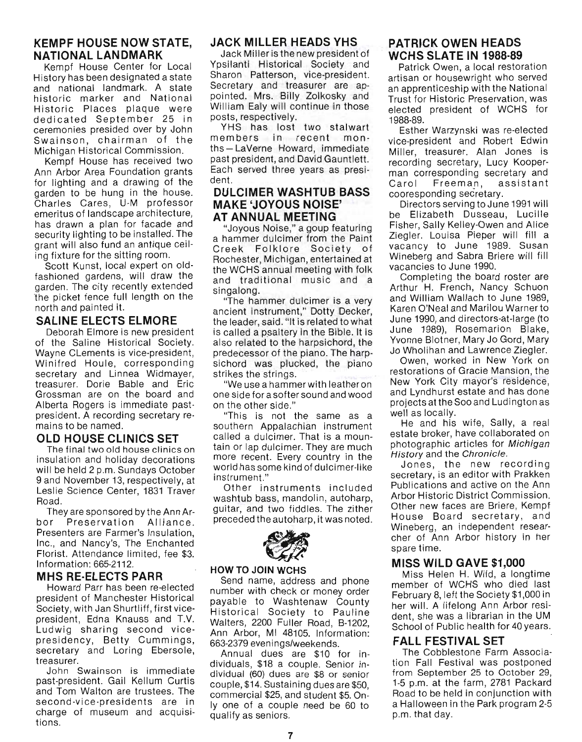## **KEMPF HOUSE NOW STATE, NATIONAL LANDMARK**

Kempf House Center for Local History has been designated a state and national landmark. A state historic marker and National Historic Places plaque were dedicated September 25 in ceremonies presided over by John Swainson, chairman of the Michigan Historical Commission.

Kempf House has received two Ann Arbor Area Foundation grants for lighting and a drawing of the garden to be hung in the house. Charles Cares , U-M professor emeritus of landscape architecture, has drawn a plan for facade and security lighting to be installed. The grant will also fund an antique ceiling fixture for the sitting room.

Scott Kunst, local expert on oldfashioned gardens, will draw the garden. The city recently extended 'the picket fence full length on the north and painted it.

#### **SALINE ELECTS ELMORE**

Deborah Elmore is new president of the Saline Historical Society. Wayne CLements is vice-president, Winifred Houle, corresponding secretary and Linnea Widmayer, treasurer. Dorie Bable and Eric Grossman are on the board and Alberta Rogers is immediate pastpresident. A recording secretary remains to be named.

## **OLD HOUSE CLINICS SET**

The final two old house clinics on insulation and holiday decorations will be held 2 p.m. Sundays October 9 and November 13, respectively, at Leslie Science Center, 1831 Traver Road.

They are sponsored by the Ann Arbor Preservation Alliance. Presenters are Farmer's Insulation, Inc., and Nancy's, The Enchanted Florist. Attendance limited, fee \$3. Information: 665-2112.

## **MHS RE·ELECTS PARR**

Howard Parr has been re-elected president of Manchester Historical Society, with Jan Shurtliff, first vicepresident, Edna Knauss and T.V. Ludwig sharing second vicepresidency, Betty Cummings, secretary and Loring Ebersole, treasurer.

John Swainson is immediate past-president. Gail Kellum Curtis and Tom Walton are trustees. The second-vice-presidents are in charge of museum and acquisitions.

#### **JACK MILLER HEADS YHS**

Jack Miller is the new president of Ypsilanti Historical Society and Sharon Patterson, vice-president. Secretary and treasurer are appointed. Mrs. Billy Zolkosky and William Ealy will continue in those posts, respectively.

YHS has lost two stalwart members in recent months - LaVerne Howard, immediate past president, and David Gauntlett. Each served three years as president.

#### **DULCIMER WASHTUB BASS MAKE 'JOYOUS NOISE' AT AN NUAL MEETING**

"Joyous Noise," a goup featuring a hammer dulcimer from the Paint Creek Folklore Society of Rochester, Michigan, entertained at the WCHS annual meeting with folk and traditional music and a singalong.

"The hammer dulcimer is a very ancient instrument," Dotty Decker, the leader, said. "It is related to what is called a psaltery in the Bible. It is also related to the harpsichord, the predecessor of the piano. The harpsichord was plucked, the piano strikes the strings.

"We use a hammer with leather on one side for a softer sound and wood on the other side."

"This is not the same as a southern Appalachian instrument called a dulcimer. That is a mountain or lap dulcimer. They are much more recent. Every country in the world has some kind of dulcimer-like instrument."

Other instruments included washtub bass, mandolin, autoharp, guitar, and two fiddles. The zither preceded the autoharp, it was noted.



#### **HOW TO JOIN WCHS**

exercise<br>
Send name, and the send phone<br>
Send name, address and phone number with check or money order payable to Washtenaw County Historical Society to Pauline Walters, 2200 Fuller Road, B-1202, Ann Arbor, MI 48105. Information: 663-2379 evenings/weekends.

Annual dues are \$10 for individuals, \$18 a couple. Senior individual (60) dues are \$8 or senior couple, \$14. Sustaining dues are \$50, commercial \$25, and student \$5. Only one of a couple need be 60 to qualify as seniors.

## **PATRICK OWEN HEADS WCHS SLATE IN 1988·89**

Patrick Owen, a local restoration artisan or housewright who served an apprenticeship with the National Trust for Historic Preservation, was elected president of WCHS for 1988-89.

Esther Warzynski was re-elected vice-president and Robert Edwin Miller, treasurer. Alan Jones is recording secretary, Lucy Kooperman corresponding secretary and Carol Freeman, assistant cooresponding secretary.

Directors serving to June 1991 will be Elizabeth Dusseau, Lucille Fisher, Sally Kelley-Owen and Alice Ziegler. Louisa Pieper will fill a vacancy to June 1989. Susan Wineberg and Sabra Briere will fill vacancies to June 1990.

Completing the board roster are Arthur H. French, Nancy Schuon and William Wallach to June 1989, Karen O'Neal and Marilou Warner to June 1990, and directors-at-Iarge (to June 1989), Rosemarion Blake, Yvonne Blotner, Mary Jo Gord, Mary Jo Wholihan and Lawrence Ziegler.

Owen, worked in New York on restorations of Gracie Mansion, the New York City mayor's residence, and Lyndhurst estate and has done projects at the Soo and Ludington as well as locally.

He and his wife, Sally, a real estate broker, have collaborated on photographic articles for Michigan History and the Chronic/e.

Jones, the new recording secretary, is an editor with Prakken Publications and active on the Ann Arbor Historic District Commission. Other new faces are Briere, Kempf House Board secretary, and Wineberg, an independent researcher of Ann Arbor history in her spare time.

#### **MISS WILD GAVE \$1,000**

Miss Helen H. Wild, a longtime member of WCHS who died last February 8, left the Society \$1 ,000 in her will. A lifelong Ann Arbor resident, she was a librarian in the UM School of Public health for 40 years.

#### **FALL FESTIVAL SET**

The Cobblestone Farm Association Fall Festival was postponed from September 25 to October 29, 1-5 p.m. at the farm, 2781 Packard Road to be held in conjunction with a Halloween in the Park program 2-5 p.m. that day.